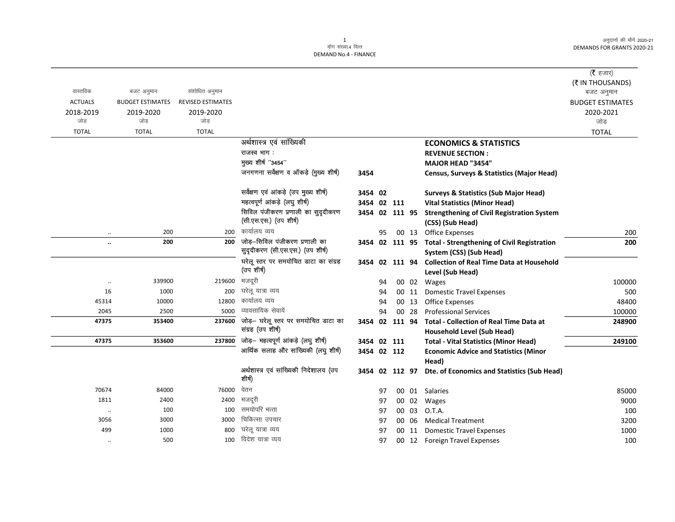अनुदानों की माँगें 2020-21 DEMANDS FOR GRANTS 2020-21

 $\overline{\phantom{a}}$ 

|                      |                         |                          |                                                                   |                |    |       |                                                                                     | ( $\bar{\tau}$ हजार)<br>(₹ IN THOUSANDS) |
|----------------------|-------------------------|--------------------------|-------------------------------------------------------------------|----------------|----|-------|-------------------------------------------------------------------------------------|------------------------------------------|
| वास्तविक             | बजट अनुमान              | संशोधित अनुमान           |                                                                   |                |    |       |                                                                                     | बजट अनुमान                               |
| <b>ACTUALS</b>       | <b>BUDGET ESTIMATES</b> | <b>REVISED ESTIMATES</b> |                                                                   |                |    |       |                                                                                     | <b>BUDGET ESTIMATES</b>                  |
| 2018-2019            | 2019-2020               | 2019-2020                |                                                                   |                |    |       |                                                                                     | 2020-2021                                |
| जोड                  | जोड                     | जोड़                     |                                                                   |                |    |       |                                                                                     | जोड                                      |
| <b>TOTAL</b>         | <b>TOTAL</b>            | <b>TOTAL</b>             |                                                                   |                |    |       |                                                                                     | <b>TOTAL</b>                             |
|                      |                         |                          | अर्थशास्त्र एवं सांख्यिकी                                         |                |    |       | <b>ECONOMICS &amp; STATISTICS</b>                                                   |                                          |
|                      |                         |                          | राजस्व भाग:                                                       |                |    |       | <b>REVENUE SECTION:</b>                                                             |                                          |
|                      |                         |                          | मुख्य शीर्ष "3454"                                                |                |    |       | <b>MAJOR HEAD "3454"</b>                                                            |                                          |
|                      |                         |                          | जनगणना सर्वेक्षण व ऑकड़े (मुख्य शीर्ष)                            | 3454           |    |       | <b>Census, Surveys &amp; Statistics (Major Head)</b>                                |                                          |
|                      |                         |                          | सर्वेक्षण एवं आंकड़े (उप मुख्य शीर्ष)                             | 3454 02        |    |       | <b>Surveys &amp; Statistics (Sub Major Head)</b>                                    |                                          |
|                      |                         |                          | महत्वपूर्ण आंकड़े (लघु शीर्ष)                                     | 3454 02 111    |    |       | <b>Vital Statistics (Minor Head)</b>                                                |                                          |
|                      |                         |                          | सिविल पंजीकरण प्रणाली का सुदृदीकरण                                | 3454 02 111 95 |    |       | <b>Strengthening of Civil Registration System</b>                                   |                                          |
|                      |                         |                          | (सी.एस.एस.) (उप शीर्ष)                                            |                |    |       | (CSS) (Sub Head)                                                                    |                                          |
| $\ddotsc$            | 200                     | 200                      | कार्यालय व्यय                                                     |                | 95 |       | 00 13 Office Expenses                                                               | 200                                      |
| $\ddot{\phantom{0}}$ | 200                     | 200                      | जोड़-सिविल पंजीकरण प्रणाली का<br>सुदृदीकरण (सी.एस.एस.) (उप शीर्ष) |                |    |       | 3454 02 111 95 Total - Strengthening of Civil Registration                          | 200                                      |
|                      |                         |                          | घरेलू स्तर पर समयोचित डाटा का संग्रह                              |                |    |       | System (CSS) (Sub Head)<br>3454 02 111 94 Collection of Real Time Data at Household |                                          |
|                      |                         |                          | (उप शीर्ष)                                                        |                |    |       | Level (Sub Head)                                                                    |                                          |
| $\ldots$             | 339900                  | 219600                   | मजदूरी                                                            |                | 94 |       | 00 02 Wages                                                                         | 100000                                   |
| 16                   | 1000                    | 200                      | घरेलू यात्रा व्यय                                                 |                | 94 | 00 11 | <b>Domestic Travel Expenses</b>                                                     | 500                                      |
| 45314                | 10000                   | 12800                    | कार्यालय व्यय                                                     |                | 94 | 00 13 | <b>Office Expenses</b>                                                              | 48400                                    |
| 2045                 | 2500                    | 5000                     | व्यावसायिक सेवायें                                                |                | 94 | 00 28 | <b>Professional Services</b>                                                        | 100000                                   |
| 47375                | 353400                  | 237600                   | जोड़– घरेलू स्तर पर समयोचित डाटा का                               | 3454 02 111 94 |    |       | <b>Total - Collection of Real Time Data at</b>                                      | 248900                                   |
|                      |                         |                          | संग्रह (उप शीर्ष)                                                 |                |    |       | <b>Household Level (Sub Head)</b>                                                   |                                          |
| 47375                | 353600                  | 237800                   | जोड़– महत्वपूर्ण आंकड़े (लघु शीर्ष)                               | 3454 02 111    |    |       | <b>Total - Vital Statistics (Minor Head)</b>                                        | 249100                                   |
|                      |                         |                          | आर्थिक सलाह और सांख्यिकी (लघु शीर्ष)                              | 3454 02 112    |    |       | <b>Economic Advice and Statistics (Minor</b>                                        |                                          |
|                      |                         |                          |                                                                   |                |    |       | Head)                                                                               |                                          |
|                      |                         |                          | अर्थशास्त्र एवं सांख्यिकी निदेशालय (उप<br>शीर्ष)                  | 3454 02 112 97 |    |       | Dte. of Economics and Statistics (Sub Head)                                         |                                          |
| 70674                | 84000                   | 76000                    | वेतन                                                              |                | 97 |       | 00 01 Salaries                                                                      | 85000                                    |
| 1811                 | 2400                    | 2400                     | मजदूरी                                                            |                | 97 | 00 02 | Wages                                                                               | 9000                                     |
| $\ddotsc$            | 100                     | 100                      | समयोपरि भत्ता                                                     |                | 97 | 00 03 | O.T.A.                                                                              | 100                                      |
| 3056                 | 3000                    | 3000                     | चिकित्सा उपचार                                                    |                | 97 | 00 06 | <b>Medical Treatment</b>                                                            | 3200                                     |
| 499                  | 1000                    | 800                      | घरेलू यात्रा व्यय                                                 |                | 97 | 00 11 | <b>Domestic Travel Expenses</b>                                                     | 1000                                     |
| $\cdot\cdot$         | 500                     | 100                      | विदेश यात्रा व्यय                                                 |                | 97 |       | 00 12 Foreign Travel Expenses                                                       | 100                                      |
|                      |                         |                          |                                                                   |                |    |       |                                                                                     |                                          |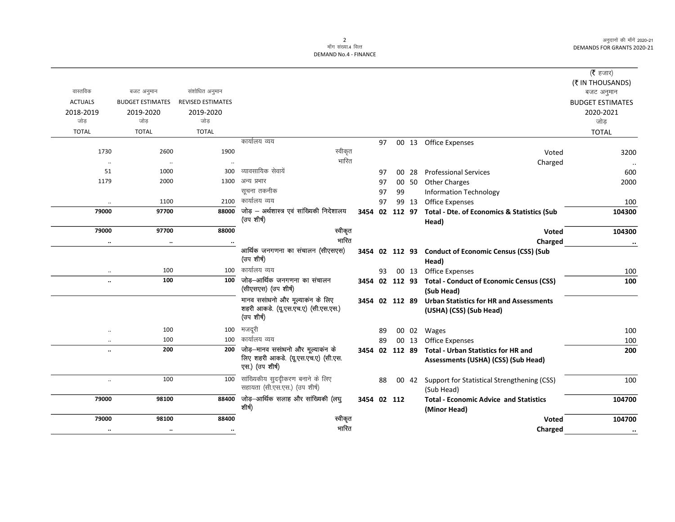अनुदानों की माँगें 2020-21 DEMANDS FOR GRANTS 2020-21

## 2<br>माँग संख्या.4 वित्त DEMAND No.4 - FINANCE

| (रै हजार)               |                                                         |    |       |    |                |                                                   |                          |                         |                |
|-------------------------|---------------------------------------------------------|----|-------|----|----------------|---------------------------------------------------|--------------------------|-------------------------|----------------|
| (₹ IN THOUSANDS)        |                                                         |    |       |    |                |                                                   |                          |                         |                |
| बजट अनुमान              |                                                         |    |       |    |                |                                                   | संशोधित अनुमान           | बजट अनुमान              | वास्तविक       |
| <b>BUDGET ESTIMATES</b> |                                                         |    |       |    |                |                                                   | <b>REVISED ESTIMATES</b> | <b>BUDGET ESTIMATES</b> | <b>ACTUALS</b> |
| 2020-2021               |                                                         |    |       |    |                |                                                   | 2019-2020                | 2019-2020               | 2018-2019      |
| जोड                     |                                                         |    |       |    |                |                                                   | जोड                      | जोड                     | जोड            |
| <b>TOTAL</b>            |                                                         |    |       |    |                |                                                   | <b>TOTAL</b>             | <b>TOTAL</b>            | <b>TOTAL</b>   |
|                         | 00 13 Office Expenses                                   |    |       | 97 |                | कार्यालय व्यय                                     |                          |                         |                |
| 3200                    | Voted                                                   |    |       |    |                | स्वीकृत                                           | 1900                     | 2600                    | 1730           |
|                         | Charged                                                 |    |       |    |                | भारित                                             | $\ddotsc$                | $\ldots$                | $\ddotsc$      |
| 600                     | <b>Professional Services</b>                            | 28 | 00    | 97 |                | व्यावसायिक सेवायें                                | 300                      | 1000                    | 51             |
| 2000                    | <b>Other Charges</b>                                    |    | 00 50 | 97 |                | अन्य प्रभार                                       | 1300                     | 2000                    | 1179           |
|                         | <b>Information Technology</b>                           |    | 99    | 97 |                | सूचना तकनीक                                       |                          |                         |                |
| 100                     | <b>Office Expenses</b>                                  |    | 99 13 | 97 |                | कार्यालय व्यय                                     | 2100                     | 1100                    | $\ddotsc$      |
| 104300                  | <b>Total - Dte. of Economics &amp; Statistics (Sub</b>  |    |       |    | 3454 02 112 97 | जोड़ - अर्थशास्त्र एवं सांख्यिकी निदेशालय         | 88000                    | 97700                   | 79000          |
|                         | Head)                                                   |    |       |    |                | (उप शीर्ष)                                        |                          |                         |                |
| 104300                  | <b>Voted</b>                                            |    |       |    |                | स्वीकृत                                           | 88000                    | 97700                   | 79000          |
| $\cdots$                | Charged                                                 |    |       |    |                | भारित                                             |                          | $\ldots$                | $\ldots$       |
|                         | 3454 02 112 93 Conduct of Economic Census (CSS) (Sub    |    |       |    |                | आर्थिक जनगणना का संचालन (सीएसएस)                  |                          |                         |                |
|                         | Head)                                                   |    |       |    |                | (उप शीर्ष)                                        |                          |                         |                |
| 100                     | 00 13 Office Expenses                                   |    |       | 93 |                | कार्यालय व्यय                                     | 100                      | 100                     | $\ddotsc$      |
| 100                     | 3454 02 112 93 Total - Conduct of Economic Census (CSS) |    |       |    |                | जोड़-आर्थिक जनगणना का संचालन                      | 100                      | 100                     | $\ddotsc$      |
|                         | (Sub Head)                                              |    |       |    |                | (सीएसएस) (उप शीर्ष)                               |                          |                         |                |
|                         | <b>Urban Statistics for HR and Assessments</b>          |    |       |    | 3454 02 112 89 | मानव ससांधनो और मूल्याकंन के लिए                  |                          |                         |                |
|                         | (USHA) (CSS) (Sub Head)                                 |    |       |    |                | शहरी आकडे. (यू.एस.एच.ए) (सी.एस.एस.)<br>(उप शीर्ष) |                          |                         |                |
| 100                     | Wages                                                   |    | 00 02 | 89 |                | मजदूरी                                            | 100                      | 100                     | $\ddotsc$      |
| 100                     | Office Expenses                                         |    | 00 13 | 89 |                | कार्यालय व्यय                                     | 100                      | 100                     | $\cdot$ .      |
| 200                     | <b>Total - Urban Statistics for HR and</b>              |    |       |    | 3454 02 112 89 | जोड़–मानव ससांधनो और मूल्याकन के                  | 200                      | 200                     | $\ddotsc$      |
|                         | Assessments (USHA) (CSS) (Sub Head)                     |    |       |    |                | लिए शहरी आकडे. (यू.एस.एच.ए) (सी.एस.               |                          |                         |                |
|                         |                                                         |    |       |    |                | एस.) (उप शीर्ष)                                   |                          |                         |                |
| 100                     | Support for Statistical Strengthening (CSS)             |    | 00 42 | 88 |                | सांख्यिकीय सुददीकरण बनाने के लिए                  | 100                      | 100                     | $\ddotsc$      |
|                         | (Sub Head)                                              |    |       |    |                | सहायता (सी.एस.एस.) (उप शीर्ष)                     |                          |                         |                |
| 104700                  | <b>Total - Economic Advice and Statistics</b>           |    |       |    | 3454 02 112    | जोड़-आर्थिक सलाह और सांख्यिकी (लघु                | 88400                    | 98100                   | 79000          |
|                         | (Minor Head)                                            |    |       |    |                | शीर्ष)                                            |                          |                         |                |
| 104700                  | Voted                                                   |    |       |    |                | स्वीकृत                                           | 88400                    | 98100                   | 79000          |
| $\cdot \cdot$           | Charged                                                 |    |       |    |                | भारित                                             | $\ddot{\phantom{a}}$     | $\cdot\cdot$            | $\cdot$        |